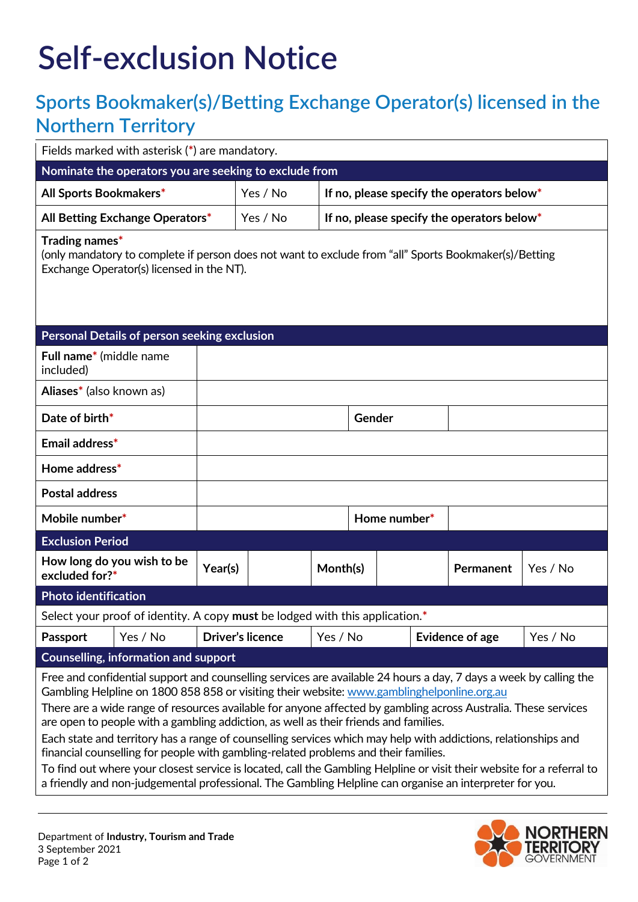## **Self-exclusion Notice**

## **Sports Bookmaker(s)/Betting Exchange Operator(s) licensed in the Northern Territory**

| Fields marked with asterisk (*) are mandatory.                                                                                                                                                                                                                                                                                                                                                                                                                                                                                                                                                                                                                                                                                                                                                                                                                          |                                                        |                                            |        |  |                        |          |  |
|-------------------------------------------------------------------------------------------------------------------------------------------------------------------------------------------------------------------------------------------------------------------------------------------------------------------------------------------------------------------------------------------------------------------------------------------------------------------------------------------------------------------------------------------------------------------------------------------------------------------------------------------------------------------------------------------------------------------------------------------------------------------------------------------------------------------------------------------------------------------------|--------------------------------------------------------|--------------------------------------------|--------|--|------------------------|----------|--|
| Nominate the operators you are seeking to exclude from                                                                                                                                                                                                                                                                                                                                                                                                                                                                                                                                                                                                                                                                                                                                                                                                                  |                                                        |                                            |        |  |                        |          |  |
| All Sports Bookmakers*                                                                                                                                                                                                                                                                                                                                                                                                                                                                                                                                                                                                                                                                                                                                                                                                                                                  | Yes / No<br>If no, please specify the operators below* |                                            |        |  |                        |          |  |
| All Betting Exchange Operators*                                                                                                                                                                                                                                                                                                                                                                                                                                                                                                                                                                                                                                                                                                                                                                                                                                         | Yes / No                                               | If no, please specify the operators below* |        |  |                        |          |  |
| Trading names*<br>(only mandatory to complete if person does not want to exclude from "all" Sports Bookmaker(s)/Betting<br>Exchange Operator(s) licensed in the NT).                                                                                                                                                                                                                                                                                                                                                                                                                                                                                                                                                                                                                                                                                                    |                                                        |                                            |        |  |                        |          |  |
| Personal Details of person seeking exclusion                                                                                                                                                                                                                                                                                                                                                                                                                                                                                                                                                                                                                                                                                                                                                                                                                            |                                                        |                                            |        |  |                        |          |  |
| Full name* (middle name<br>included)                                                                                                                                                                                                                                                                                                                                                                                                                                                                                                                                                                                                                                                                                                                                                                                                                                    |                                                        |                                            |        |  |                        |          |  |
| Aliases* (also known as)                                                                                                                                                                                                                                                                                                                                                                                                                                                                                                                                                                                                                                                                                                                                                                                                                                                |                                                        |                                            |        |  |                        |          |  |
| Date of birth*                                                                                                                                                                                                                                                                                                                                                                                                                                                                                                                                                                                                                                                                                                                                                                                                                                                          |                                                        |                                            | Gender |  |                        |          |  |
| Email address*                                                                                                                                                                                                                                                                                                                                                                                                                                                                                                                                                                                                                                                                                                                                                                                                                                                          |                                                        |                                            |        |  |                        |          |  |
| Home address*                                                                                                                                                                                                                                                                                                                                                                                                                                                                                                                                                                                                                                                                                                                                                                                                                                                           |                                                        |                                            |        |  |                        |          |  |
| <b>Postal address</b>                                                                                                                                                                                                                                                                                                                                                                                                                                                                                                                                                                                                                                                                                                                                                                                                                                                   |                                                        |                                            |        |  |                        |          |  |
| Mobile number*                                                                                                                                                                                                                                                                                                                                                                                                                                                                                                                                                                                                                                                                                                                                                                                                                                                          | Home number*                                           |                                            |        |  |                        |          |  |
| <b>Exclusion Period</b>                                                                                                                                                                                                                                                                                                                                                                                                                                                                                                                                                                                                                                                                                                                                                                                                                                                 |                                                        |                                            |        |  |                        |          |  |
| How long do you wish to be<br>Year(s)<br>excluded for?*                                                                                                                                                                                                                                                                                                                                                                                                                                                                                                                                                                                                                                                                                                                                                                                                                 |                                                        | Month(s)                                   |        |  | <b>Permanent</b>       | Yes / No |  |
| Photo identification                                                                                                                                                                                                                                                                                                                                                                                                                                                                                                                                                                                                                                                                                                                                                                                                                                                    |                                                        |                                            |        |  |                        |          |  |
| Select your proof of identity. A copy must be lodged with this application.*                                                                                                                                                                                                                                                                                                                                                                                                                                                                                                                                                                                                                                                                                                                                                                                            |                                                        |                                            |        |  |                        |          |  |
| Yes / No<br><b>Passport</b>                                                                                                                                                                                                                                                                                                                                                                                                                                                                                                                                                                                                                                                                                                                                                                                                                                             | <b>Driver's licence</b>                                | Yes / No                                   |        |  | <b>Evidence of age</b> | Yes / No |  |
| <b>Counselling, information and support</b>                                                                                                                                                                                                                                                                                                                                                                                                                                                                                                                                                                                                                                                                                                                                                                                                                             |                                                        |                                            |        |  |                        |          |  |
| Free and confidential support and counselling services are available 24 hours a day, 7 days a week by calling the<br>Gambling Helpline on 1800 858 858 or visiting their website: www.gamblinghelponline.org.au<br>There are a wide range of resources available for anyone affected by gambling across Australia. These services<br>are open to people with a gambling addiction, as well as their friends and families.<br>Each state and territory has a range of counselling services which may help with addictions, relationships and<br>financial counselling for people with gambling-related problems and their families.<br>To find out where your closest service is located, call the Gambling Helpline or visit their website for a referral to<br>a friendly and non-judgemental professional. The Gambling Helpline can organise an interpreter for you. |                                                        |                                            |        |  |                        |          |  |